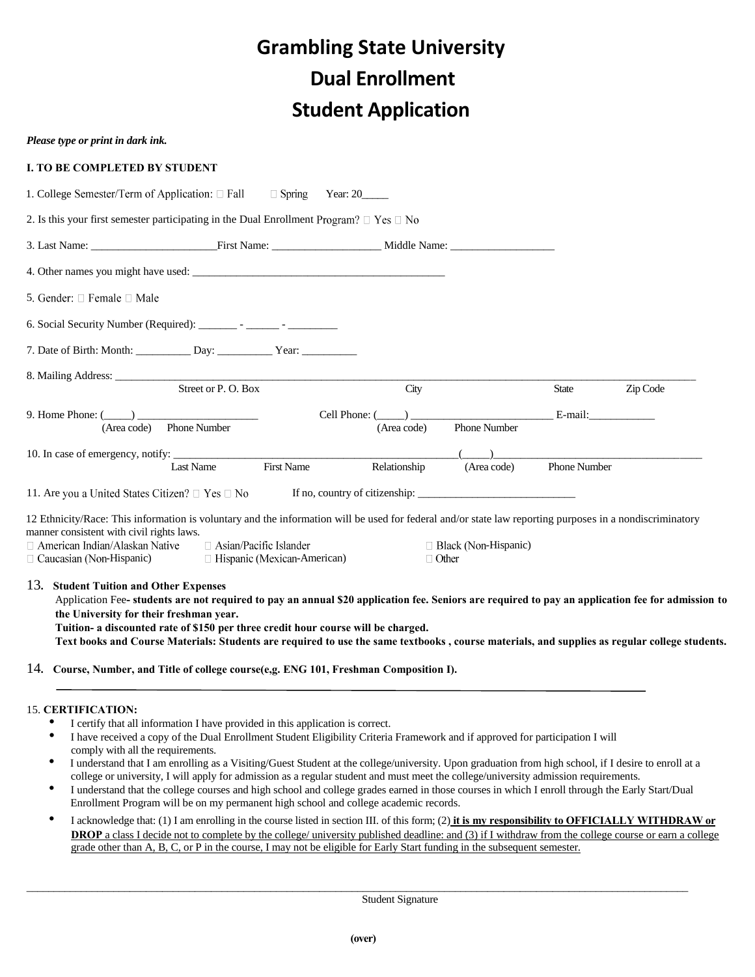# **Grambling State University Dual Enrollment Student Application**

| Please type or print in dark ink.                                                                                                                                                                                                                                                                                                                                                                                                                                            |                                                                     |                                |              |                             |                     |          |
|------------------------------------------------------------------------------------------------------------------------------------------------------------------------------------------------------------------------------------------------------------------------------------------------------------------------------------------------------------------------------------------------------------------------------------------------------------------------------|---------------------------------------------------------------------|--------------------------------|--------------|-----------------------------|---------------------|----------|
| <b>I. TO BE COMPLETED BY STUDENT</b>                                                                                                                                                                                                                                                                                                                                                                                                                                         |                                                                     |                                |              |                             |                     |          |
| 1. College Semester/Term of Application: $\Box$ Fall $\Box$ Spring Year: 20                                                                                                                                                                                                                                                                                                                                                                                                  |                                                                     |                                |              |                             |                     |          |
| 2. Is this your first semester participating in the Dual Enrollment Program? $\Box$ Yes $\Box$ No                                                                                                                                                                                                                                                                                                                                                                            |                                                                     |                                |              |                             |                     |          |
| 3. Last Name: First Name: First Name: Middle Name:                                                                                                                                                                                                                                                                                                                                                                                                                           |                                                                     |                                |              |                             |                     |          |
| 4. Other names you might have used:                                                                                                                                                                                                                                                                                                                                                                                                                                          |                                                                     |                                |              |                             |                     |          |
| 5. Gender: $\square$ Female $\square$ Male                                                                                                                                                                                                                                                                                                                                                                                                                                   |                                                                     |                                |              |                             |                     |          |
|                                                                                                                                                                                                                                                                                                                                                                                                                                                                              |                                                                     |                                |              |                             |                     |          |
| 7. Date of Birth: Month: ____________ Day: _____________ Year: __________________                                                                                                                                                                                                                                                                                                                                                                                            |                                                                     |                                |              |                             |                     |          |
|                                                                                                                                                                                                                                                                                                                                                                                                                                                                              | Street or P.O. Box                                                  |                                | City         |                             | <b>State</b>        | Zip Code |
| 9. Home Phone: $(\_\_)$<br>(Area code) Phone Number                                                                                                                                                                                                                                                                                                                                                                                                                          |                                                                     | Cell Phone: $(\_\_)$           | (Area code)  | Phone Number                | E-mail:             |          |
|                                                                                                                                                                                                                                                                                                                                                                                                                                                                              | <b>First Name</b><br>Last Name                                      |                                | Relationship | (Area code)                 | <b>Phone Number</b> |          |
| 11. Are you a United States Citizen? □ Yes □ No                                                                                                                                                                                                                                                                                                                                                                                                                              |                                                                     | If no, country of citizenship: |              |                             |                     |          |
| 12 Ethnicity/Race: This information is voluntary and the information will be used for federal and/or state law reporting purposes in a nondiscriminatory<br>manner consistent with civil rights laws.<br>$\Box$ American Indian/Alaskan Native<br>$\Box$ Caucasian (Non-Hispanic)                                                                                                                                                                                            | $\Box$ Asian/Pacific Islander<br>$\Box$ Hispanic (Mexican-American) |                                | $\Box$ Other | $\Box$ Black (Non-Hispanic) |                     |          |
| 13. Student Tuition and Other Expenses<br>Application Fee- students are not required to pay an annual \$20 application fee. Seniors are required to pay an application fee for admission to<br>the University for their freshman year.<br>Tuition- a discounted rate of \$150 per three credit hour course will be charged.<br>Text books and Course Materials: Students are required to use the same textbooks, course materials, and supplies as regular college students. |                                                                     |                                |              |                             |                     |          |
| 14. Course, Number, and Title of college course(e,g. ENG 101, Freshman Composition I).                                                                                                                                                                                                                                                                                                                                                                                       |                                                                     |                                |              |                             |                     |          |
| <b>15. CERTIFICATION:</b><br>I certify that all information I have provided in this application is correct.<br>I have received a copy of the Dual Enrollment Student Eligibility Criteria Framework and if approved for participation I will<br>٠<br>comply with all the requirements.                                                                                                                                                                                       |                                                                     |                                |              |                             |                     |          |

- I understand that I am enrolling as a Visiting/Guest Student at the college/university. Upon graduation from high school, if I desire to enroll at a college or university, I will apply for admission as a regular student and must meet the college/university admission requirements.
- I understand that the college courses and high school and college grades earned in those courses in which I enroll through the Early Start/Dual Enrollment Program will be on my permanent high school and college academic records.
- I acknowledge that: (1) I am enrolling in the course listed in section III. of this form; (2) **it is my responsibility to OFFICIALLY WITHDRAW or DROP** a class I decide not to complete by the college/ university published deadline: and (3) if I withdraw from the college course or earn a college grade other than A, B, C, or P in the course, I may not be eligible for Early Start funding in the subsequent semester.

 $\_$  , and the set of the set of the set of the set of the set of the set of the set of the set of the set of the set of the set of the set of the set of the set of the set of the set of the set of the set of the set of th